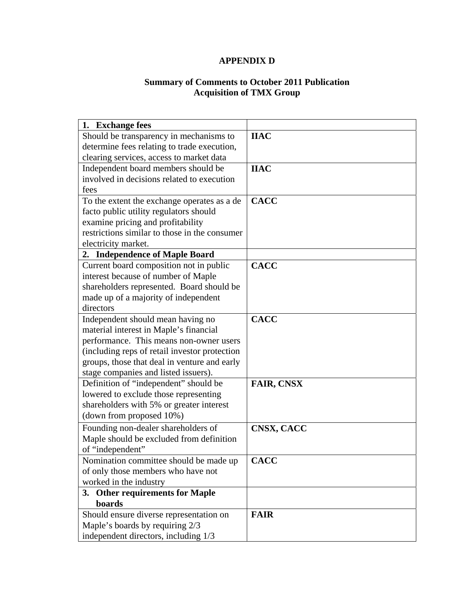## **APPENDIX D**

#### **Summary of Comments to October 2011 Publication Acquisition of TMX Group**

| 1. Exchange fees                              |                   |
|-----------------------------------------------|-------------------|
| Should be transparency in mechanisms to       | <b>IIAC</b>       |
| determine fees relating to trade execution,   |                   |
| clearing services, access to market data      |                   |
| Independent board members should be           | <b>IIAC</b>       |
| involved in decisions related to execution    |                   |
| fees                                          |                   |
| To the extent the exchange operates as a de   | <b>CACC</b>       |
| facto public utility regulators should        |                   |
| examine pricing and profitability             |                   |
| restrictions similar to those in the consumer |                   |
| electricity market.                           |                   |
| 2. Independence of Maple Board                |                   |
| Current board composition not in public       | <b>CACC</b>       |
| interest because of number of Maple           |                   |
| shareholders represented. Board should be     |                   |
| made up of a majority of independent          |                   |
| directors                                     |                   |
| Independent should mean having no             | <b>CACC</b>       |
| material interest in Maple's financial        |                   |
| performance. This means non-owner users       |                   |
| (including reps of retail investor protection |                   |
| groups, those that deal in venture and early  |                   |
| stage companies and listed issuers).          |                   |
| Definition of "independent" should be         | <b>FAIR, CNSX</b> |
| lowered to exclude those representing         |                   |
| shareholders with 5% or greater interest      |                   |
| (down from proposed 10%)                      |                   |
| Founding non-dealer shareholders of           | CNSX, CACC        |
| Maple should be excluded from definition      |                   |
| of "independent"                              |                   |
| Nomination committee should be made up        | <b>CACC</b>       |
| of only those members who have not            |                   |
| worked in the industry                        |                   |
| 3. Other requirements for Maple               |                   |
| boards                                        |                   |
| Should ensure diverse representation on       | <b>FAIR</b>       |
| Maple's boards by requiring 2/3               |                   |
| independent directors, including 1/3          |                   |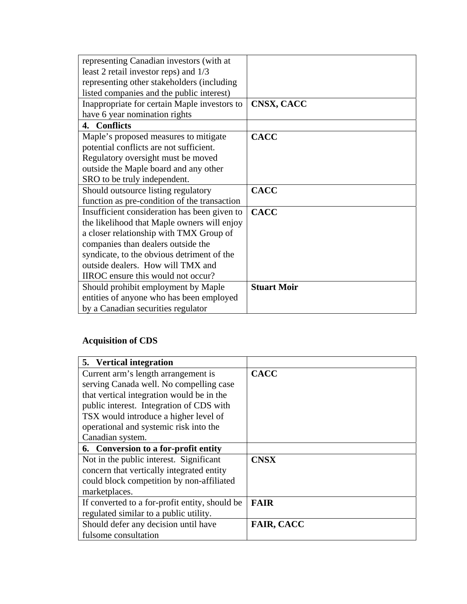| representing Canadian investors (with at     |                    |
|----------------------------------------------|--------------------|
| least 2 retail investor reps) and 1/3        |                    |
| representing other stakeholders (including   |                    |
| listed companies and the public interest)    |                    |
| Inappropriate for certain Maple investors to | CNSX, CACC         |
| have 6 year nomination rights                |                    |
| 4. Conflicts                                 |                    |
| Maple's proposed measures to mitigate        | <b>CACC</b>        |
| potential conflicts are not sufficient.      |                    |
| Regulatory oversight must be moved           |                    |
| outside the Maple board and any other        |                    |
| SRO to be truly independent.                 |                    |
| Should outsource listing regulatory          | <b>CACC</b>        |
| function as pre-condition of the transaction |                    |
| Insufficient consideration has been given to | <b>CACC</b>        |
| the likelihood that Maple owners will enjoy  |                    |
| a closer relationship with TMX Group of      |                    |
| companies than dealers outside the           |                    |
| syndicate, to the obvious detriment of the   |                    |
| outside dealers. How will TMX and            |                    |
| IIROC ensure this would not occur?           |                    |
| Should prohibit employment by Maple          | <b>Stuart Moir</b> |
| entities of anyone who has been employed     |                    |
| by a Canadian securities regulator           |                    |

# **Acquisition of CDS**

| 5. Vertical integration                        |                   |
|------------------------------------------------|-------------------|
| Current arm's length arrangement is            | <b>CACC</b>       |
| serving Canada well. No compelling case        |                   |
| that vertical integration would be in the      |                   |
| public interest. Integration of CDS with       |                   |
| TSX would introduce a higher level of          |                   |
| operational and systemic risk into the         |                   |
| Canadian system.                               |                   |
| 6. Conversion to a for-profit entity           |                   |
| Not in the public interest. Significant        | <b>CNSX</b>       |
| concern that vertically integrated entity      |                   |
| could block competition by non-affiliated      |                   |
| marketplaces.                                  |                   |
| If converted to a for-profit entity, should be | <b>FAIR</b>       |
| regulated similar to a public utility.         |                   |
| Should defer any decision until have           | <b>FAIR, CACC</b> |
| fulsome consultation                           |                   |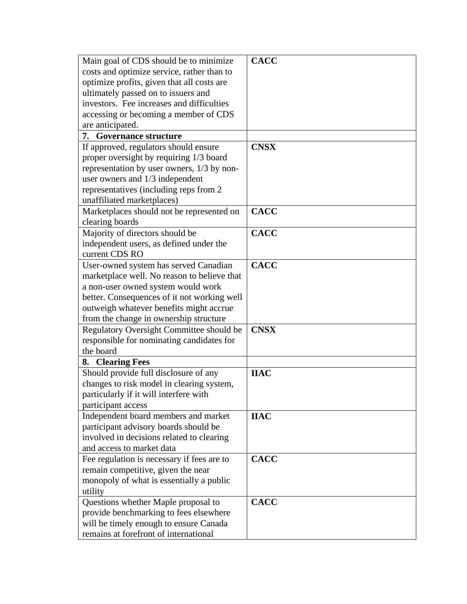| Main goal of CDS should be to minimize      | <b>CACC</b> |
|---------------------------------------------|-------------|
| costs and optimize service, rather than to  |             |
| optimize profits, given that all costs are  |             |
| ultimately passed on to issuers and         |             |
| investors. Fee increases and difficulties   |             |
| accessing or becoming a member of CDS       |             |
| are anticipated.                            |             |
| <b>7.</b> Governance structure              |             |
| If approved, regulators should ensure       | <b>CNSX</b> |
| proper oversight by requiring 1/3 board     |             |
| representation by user owners, 1/3 by non-  |             |
| user owners and $1/3$ independent           |             |
| representatives (including reps from 2)     |             |
| unaffiliated marketplaces)                  |             |
| Marketplaces should not be represented on   | <b>CACC</b> |
| clearing boards                             |             |
| Majority of directors should be             | <b>CACC</b> |
| independent users, as defined under the     |             |
| current CDS RO                              |             |
| User-owned system has served Canadian       | <b>CACC</b> |
| marketplace well. No reason to believe that |             |
| a non-user owned system would work          |             |
| better. Consequences of it not working well |             |
| outweigh whatever benefits might accrue     |             |
| from the change in ownership structure      |             |
| Regulatory Oversight Committee should be    | <b>CNSX</b> |
| responsible for nominating candidates for   |             |
| the board                                   |             |
| 8. Clearing Fees                            |             |
| Should provide full disclosure of any       | <b>IIAC</b> |
| changes to risk model in clearing system,   |             |
| particularly if it will interfere with      |             |
| participant access                          |             |
| Independent board members and market        | <b>IIAC</b> |
| participant advisory boards should be       |             |
| involved in decisions related to clearing   |             |
| and access to market data                   |             |
| Fee regulation is necessary if fees are to  | <b>CACC</b> |
| remain competitive, given the near          |             |
| monopoly of what is essentially a public    |             |
| utility                                     |             |
| Questions whether Maple proposal to         | <b>CACC</b> |
| provide benchmarking to fees elsewhere      |             |
| will be timely enough to ensure Canada      |             |
| remains at forefront of international       |             |